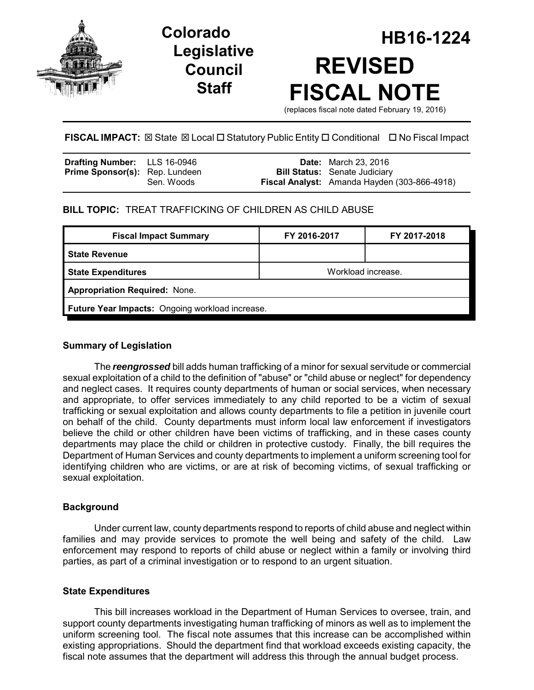

# **Legislative Council Staff**

# **HB16-1224 Colorado REVISED FISCAL NOTE**

(replaces fiscal note dated February 19, 2016)

# **FISCAL IMPACT:**  $\boxtimes$  State  $\boxtimes$  Local  $\Box$  Statutory Public Entity  $\Box$  Conditional  $\Box$  No Fiscal Impact

| <b>Drafting Number:</b> LLS 16-0946   |            | <b>Date:</b> March 23, 2016                         |
|---------------------------------------|------------|-----------------------------------------------------|
| <b>Prime Sponsor(s):</b> Rep. Lundeen |            | <b>Bill Status:</b> Senate Judiciary                |
|                                       | Sen. Woods | <b>Fiscal Analyst:</b> Amanda Hayden (303-866-4918) |

## **BILL TOPIC:** TREAT TRAFFICKING OF CHILDREN AS CHILD ABUSE

| <b>Fiscal Impact Summary</b>                    | FY 2016-2017       | FY 2017-2018 |  |  |  |
|-------------------------------------------------|--------------------|--------------|--|--|--|
| <b>State Revenue</b>                            |                    |              |  |  |  |
| <b>State Expenditures</b>                       | Workload increase. |              |  |  |  |
| <b>Appropriation Required: None.</b>            |                    |              |  |  |  |
| Future Year Impacts: Ongoing workload increase. |                    |              |  |  |  |
|                                                 |                    |              |  |  |  |

#### **Summary of Legislation**

The *reengrossed* bill adds human trafficking of a minor for sexual servitude or commercial sexual exploitation of a child to the definition of "abuse" or "child abuse or neglect" for dependency and neglect cases. It requires county departments of human or social services, when necessary and appropriate, to offer services immediately to any child reported to be a victim of sexual trafficking or sexual exploitation and allows county departments to file a petition in juvenile court on behalf of the child. County departments must inform local law enforcement if investigators believe the child or other children have been victims of trafficking, and in these cases county departments may place the child or children in protective custody. Finally, the bill requires the Department of Human Services and county departments to implement a uniform screening tool for identifying children who are victims, or are at risk of becoming victims, of sexual trafficking or sexual exploitation.

### **Background**

Under current law, county departments respond to reports of child abuse and neglect within families and may provide services to promote the well being and safety of the child. Law enforcement may respond to reports of child abuse or neglect within a family or involving third parties, as part of a criminal investigation or to respond to an urgent situation.

### **State Expenditures**

This bill increases workload in the Department of Human Services to oversee, train, and support county departments investigating human trafficking of minors as well as to implement the uniform screening tool. The fiscal note assumes that this increase can be accomplished within existing appropriations. Should the department find that workload exceeds existing capacity, the fiscal note assumes that the department will address this through the annual budget process.